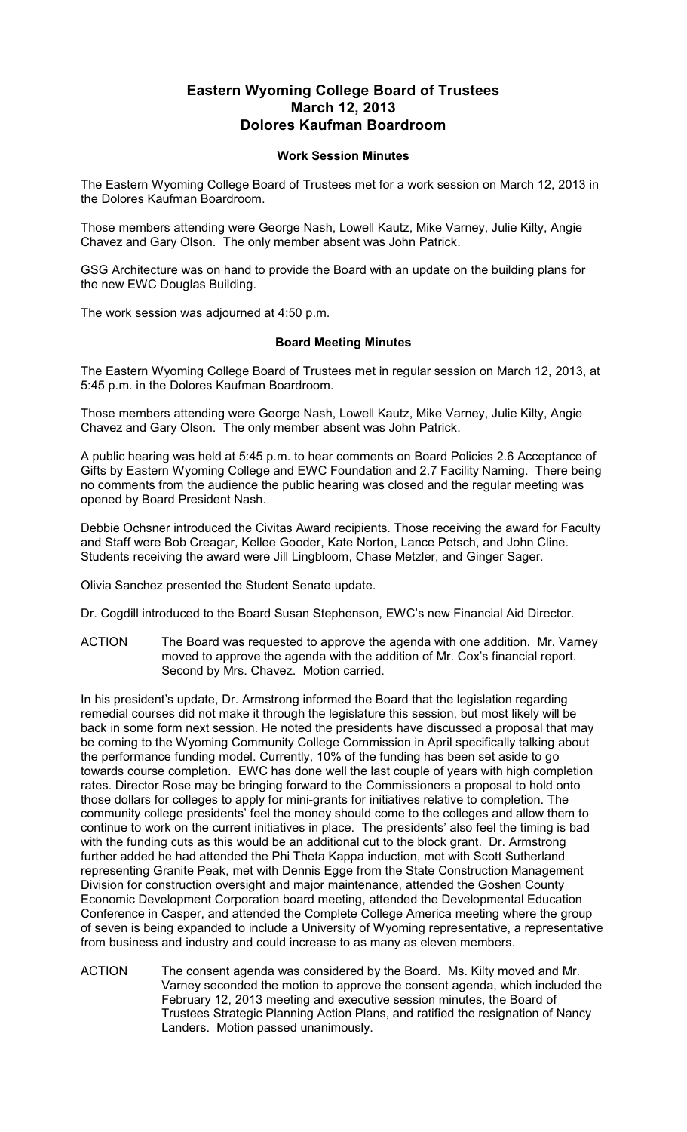## **Eastern Wyoming College Board of Trustees March 12, 2013 Dolores Kaufman Boardroom**

## **Work Session Minutes**

The Eastern Wyoming College Board of Trustees met for a work session on March 12, 2013 in the Dolores Kaufman Boardroom.

Those members attending were George Nash, Lowell Kautz, Mike Varney, Julie Kilty, Angie Chavez and Gary Olson. The only member absent was John Patrick.

GSG Architecture was on hand to provide the Board with an update on the building plans for the new EWC Douglas Building.

The work session was adjourned at 4:50 p.m.

## **Board Meeting Minutes**

The Eastern Wyoming College Board of Trustees met in regular session on March 12, 2013, at 5:45 p.m. in the Dolores Kaufman Boardroom.

Those members attending were George Nash, Lowell Kautz, Mike Varney, Julie Kilty, Angie Chavez and Gary Olson. The only member absent was John Patrick.

A public hearing was held at 5:45 p.m. to hear comments on Board Policies 2.6 Acceptance of Gifts by Eastern Wyoming College and EWC Foundation and 2.7 Facility Naming. There being no comments from the audience the public hearing was closed and the regular meeting was opened by Board President Nash.

Debbie Ochsner introduced the Civitas Award recipients. Those receiving the award for Faculty and Staff were Bob Creagar, Kellee Gooder, Kate Norton, Lance Petsch, and John Cline. Students receiving the award were Jill Lingbloom, Chase Metzler, and Ginger Sager.

Olivia Sanchez presented the Student Senate update.

Dr. Cogdill introduced to the Board Susan Stephenson, EWC's new Financial Aid Director.

ACTION The Board was requested to approve the agenda with one addition. Mr. Varney moved to approve the agenda with the addition of Mr. Cox's financial report. Second by Mrs. Chavez. Motion carried.

In his president's update, Dr. Armstrong informed the Board that the legislation regarding remedial courses did not make it through the legislature this session, but most likely will be back in some form next session. He noted the presidents have discussed a proposal that may be coming to the Wyoming Community College Commission in April specifically talking about the performance funding model. Currently, 10% of the funding has been set aside to go towards course completion. EWC has done well the last couple of years with high completion rates. Director Rose may be bringing forward to the Commissioners a proposal to hold onto those dollars for colleges to apply for mini-grants for initiatives relative to completion. The community college presidents' feel the money should come to the colleges and allow them to continue to work on the current initiatives in place. The presidents' also feel the timing is bad with the funding cuts as this would be an additional cut to the block grant. Dr. Armstrong further added he had attended the Phi Theta Kappa induction, met with Scott Sutherland representing Granite Peak, met with Dennis Egge from the State Construction Management Division for construction oversight and major maintenance, attended the Goshen County Economic Development Corporation board meeting, attended the Developmental Education Conference in Casper, and attended the Complete College America meeting where the group of seven is being expanded to include a University of Wyoming representative, a representative from business and industry and could increase to as many as eleven members.

ACTION The consent agenda was considered by the Board. Ms. Kilty moved and Mr. Varney seconded the motion to approve the consent agenda, which included the February 12, 2013 meeting and executive session minutes, the Board of Trustees Strategic Planning Action Plans, and ratified the resignation of Nancy Landers. Motion passed unanimously.